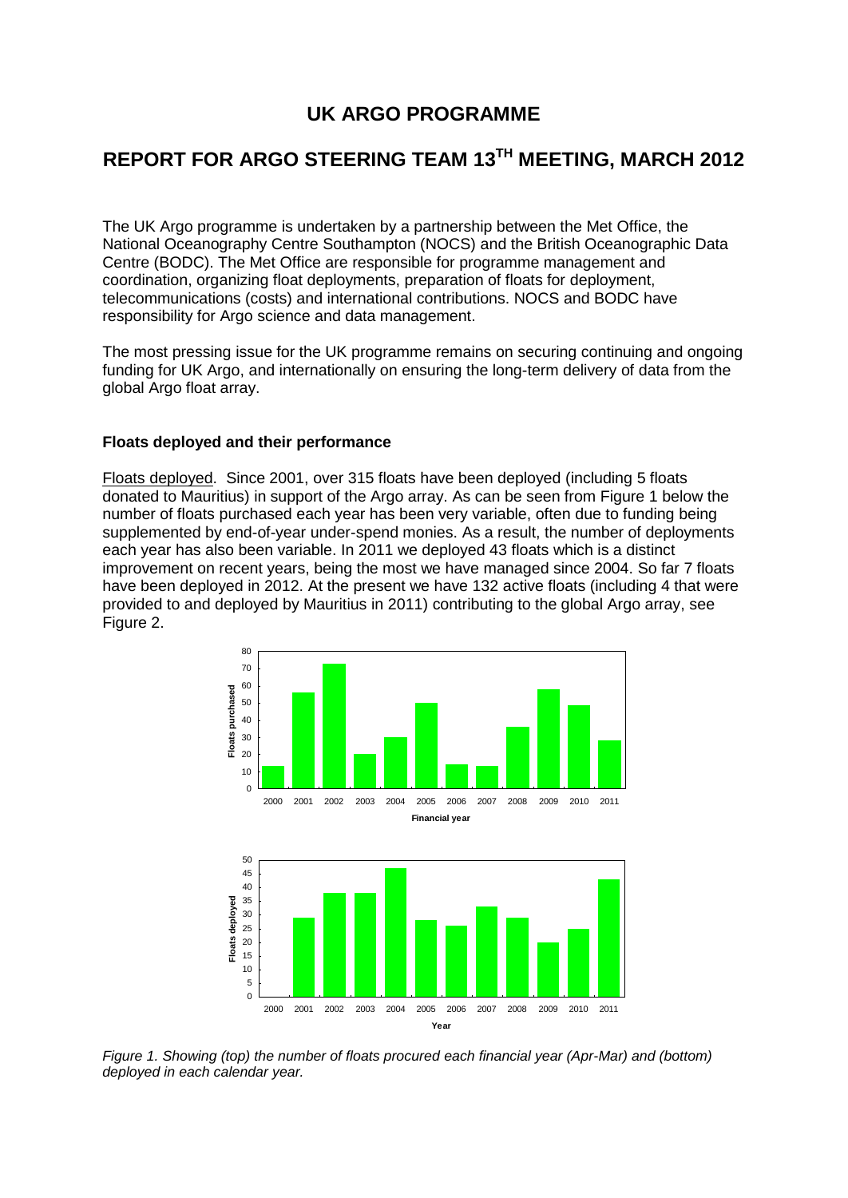# **UK ARGO PROGRAMME**

# **REPORT FOR ARGO STEERING TEAM 13 TH MEETING, MARCH 2012**

The UK Argo programme is undertaken by a partnership between the [Met Office,](http://www.metoffice.gov.uk/) the [National Oceanography Centre Southampton \(NOCS\)](http://www.noc.soton.ac.uk/) and the [British Oceanographic Data](http://www.bodc.ac.uk/)  [Centre \(BODC\).](http://www.bodc.ac.uk/) The Met Office are responsible for programme management and coordination, organizing float deployments, preparation of floats for deployment, telecommunications (costs) and international contributions. NOCS and BODC have responsibility for Argo science and data management.

The most pressing issue for the UK programme remains on securing continuing and ongoing funding for UK Argo, and internationally on ensuring the long-term delivery of data from the global Argo float array.

#### **Floats deployed and their performance**

Floats deployed. Since 2001, over 315 floats have been deployed (including 5 floats donated to Mauritius) in support of the Argo array. As can be seen from Figure 1 below the number of floats purchased each year has been very variable, often due to funding being supplemented by end-of-year under-spend monies. As a result, the number of deployments each year has also been variable. In 2011 we deployed 43 floats which is a distinct improvement on recent years, being the most we have managed since 2004. So far 7 floats have been deployed in 2012. At the present we have 132 active floats (including 4 that were provided to and deployed by Mauritius in 2011) contributing to the global Argo array, see Figure 2.



*Figure 1. Showing (top) the number of floats procured each financial year (Apr-Mar) and (bottom) deployed in each calendar year.*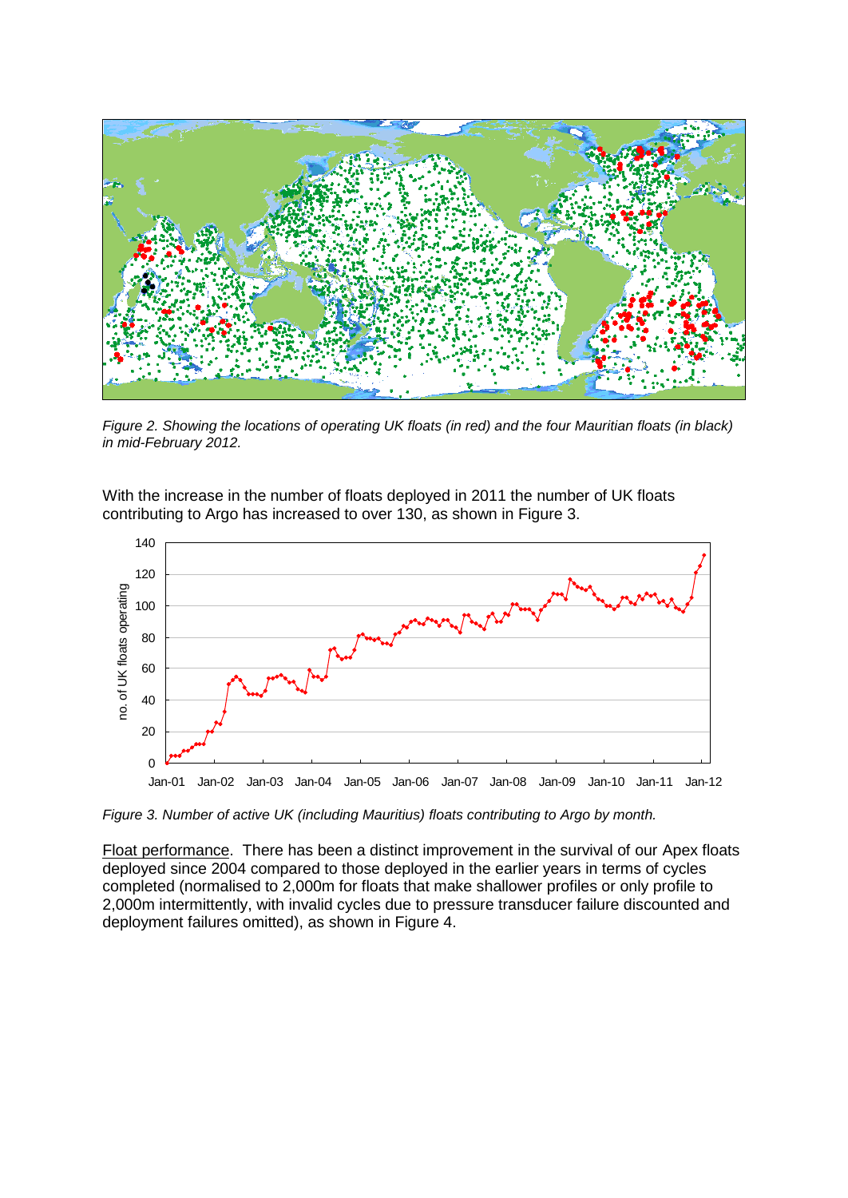

*Figure 2. Showing the locations of operating UK floats (in red) and the four Mauritian floats (in black) in mid-February 2012.*

With the increase in the number of floats deployed in 2011 the number of UK floats contributing to Argo has increased to over 130, as shown in Figure 3.



*Figure 3. Number of active UK (including Mauritius) floats contributing to Argo by month.*

Float performance. There has been a distinct improvement in the survival of our Apex floats deployed since 2004 compared to those deployed in the earlier years in terms of cycles completed (normalised to 2,000m for floats that make shallower profiles or only profile to 2,000m intermittently, with invalid cycles due to pressure transducer failure discounted and deployment failures omitted), as shown in Figure 4.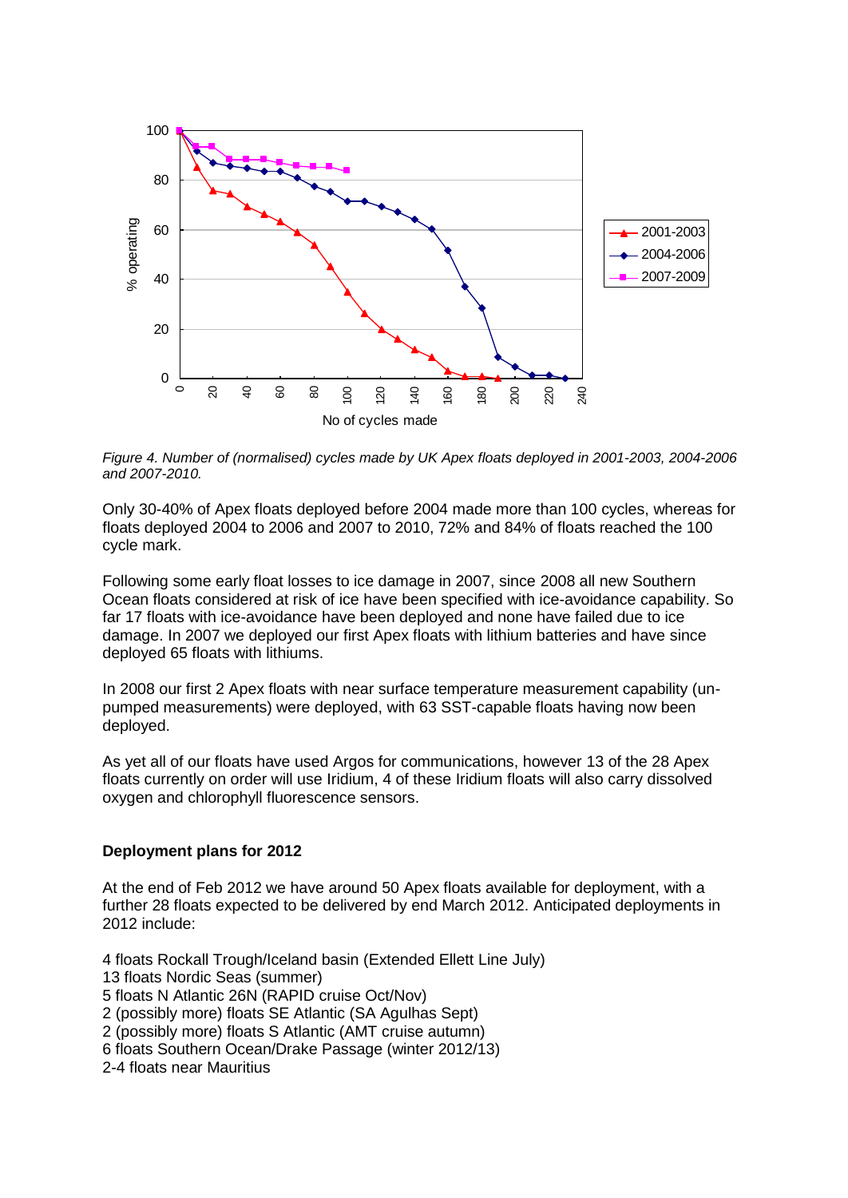

*Figure 4. Number of (normalised) cycles made by UK Apex floats deployed in 2001-2003, 2004-2006 and 2007-2010.*

Only 30-40% of Apex floats deployed before 2004 made more than 100 cycles, whereas for floats deployed 2004 to 2006 and 2007 to 2010, 72% and 84% of floats reached the 100 cycle mark.

Following some early float losses to ice damage in 2007, since 2008 all new Southern Ocean floats considered at risk of ice have been specified with ice-avoidance capability. So far 17 floats with ice-avoidance have been deployed and none have failed due to ice damage. In 2007 we deployed our first Apex floats with lithium batteries and have since deployed 65 floats with lithiums.

In 2008 our first 2 Apex floats with near surface temperature measurement capability (unpumped measurements) were deployed, with 63 SST-capable floats having now been deployed.

As yet all of our floats have used Argos for communications, however 13 of the 28 Apex floats currently on order will use Iridium, 4 of these Iridium floats will also carry dissolved oxygen and chlorophyll fluorescence sensors.

## **Deployment plans for 2012**

At the end of Feb 2012 we have around 50 Apex floats available for deployment, with a further 28 floats expected to be delivered by end March 2012. Anticipated deployments in 2012 include:

4 floats Rockall Trough/Iceland basin (Extended Ellett Line July) 13 floats Nordic Seas (summer) 5 floats N Atlantic 26N (RAPID cruise Oct/Nov) 2 (possibly more) floats SE Atlantic (SA Agulhas Sept) 2 (possibly more) floats S Atlantic (AMT cruise autumn) 6 floats Southern Ocean/Drake Passage (winter 2012/13) 2-4 floats near Mauritius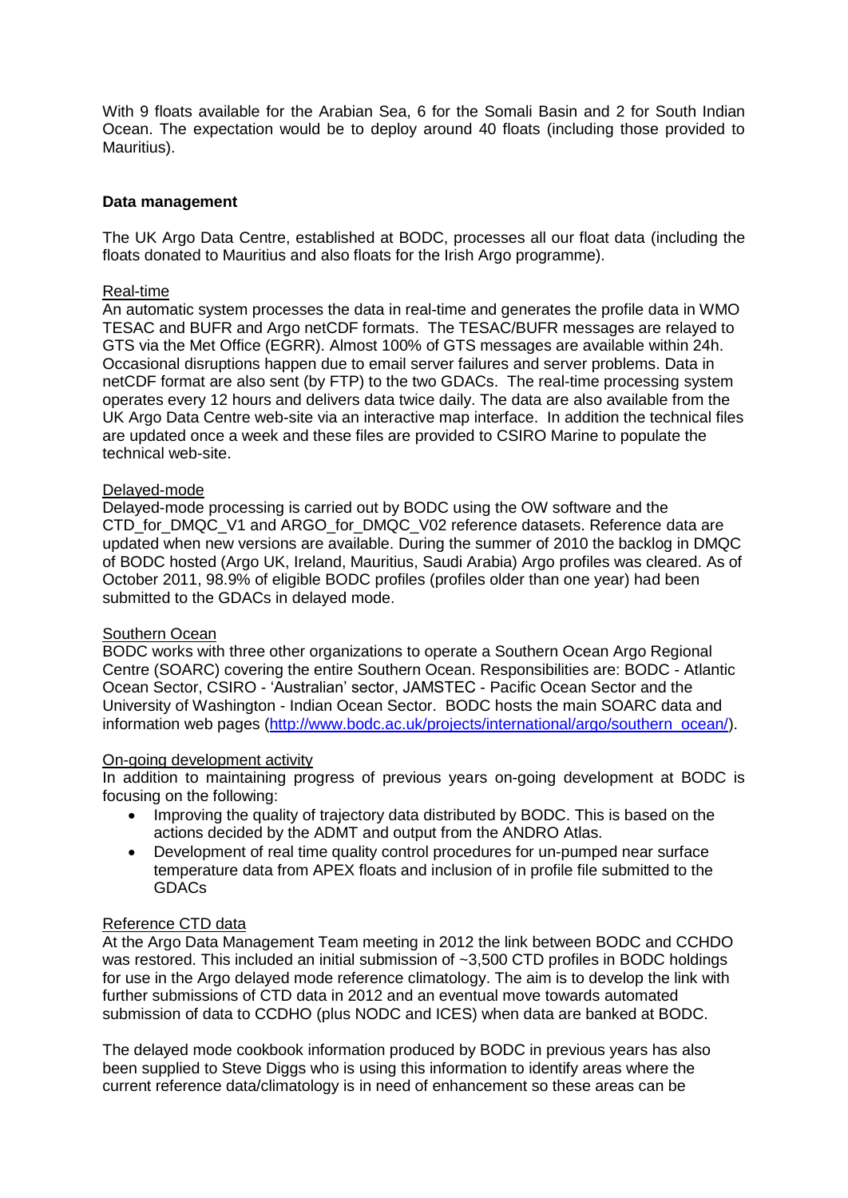With 9 floats available for the Arabian Sea, 6 for the Somali Basin and 2 for South Indian Ocean. The expectation would be to deploy around 40 floats (including those provided to Mauritius).

### **Data management**

The UK Argo Data Centre, established at BODC, processes all our float data (including the floats donated to Mauritius and also floats for the Irish Argo programme).

#### Real-time

An automatic system processes the data in real-time and generates the profile data in WMO TESAC and BUFR and Argo netCDF formats. The TESAC/BUFR messages are relayed to GTS via the Met Office (EGRR). Almost 100% of GTS messages are available within 24h. Occasional disruptions happen due to email server failures and server problems. Data in netCDF format are also sent (by FTP) to the two GDACs. The real-time processing system operates every 12 hours and delivers data twice daily. The data are also available from the UK Argo Data Centre web-site via an interactive map interface. In addition the technical files are updated once a week and these files are provided to CSIRO Marine to populate the technical web-site.

#### Delayed-mode

Delayed-mode processing is carried out by BODC using the OW software and the CTD\_for\_DMQC\_V1 and ARGO\_for\_DMQC\_V02 reference datasets. Reference data are updated when new versions are available. During the summer of 2010 the backlog in DMQC of BODC hosted (Argo UK, Ireland, Mauritius, Saudi Arabia) Argo profiles was cleared. As of October 2011, 98.9% of eligible BODC profiles (profiles older than one year) had been submitted to the GDACs in delayed mode.

#### Southern Ocean

BODC works with three other organizations to operate a Southern Ocean Argo Regional Centre (SOARC) covering the entire Southern Ocean. Responsibilities are: BODC - Atlantic Ocean Sector, CSIRO - 'Australian' sector, JAMSTEC - Pacific Ocean Sector and the University of Washington - Indian Ocean Sector. BODC hosts the main SOARC data and information web pages [\(http://www.bodc.ac.uk/projects/international/argo/southern\\_ocean/\)](http://www.bodc.ac.uk/projects/international/argo/southern_ocean/).

## On-going development activity

In addition to maintaining progress of previous years on-going development at BODC is focusing on the following:

- Improving the quality of trajectory data distributed by BODC. This is based on the actions decided by the ADMT and output from the ANDRO Atlas.
- Development of real time quality control procedures for un-pumped near surface temperature data from APEX floats and inclusion of in profile file submitted to the GDACs

#### Reference CTD data

At the Argo Data Management Team meeting in 2012 the link between BODC and CCHDO was restored. This included an initial submission of ~3,500 CTD profiles in BODC holdings for use in the Argo delayed mode reference climatology. The aim is to develop the link with further submissions of CTD data in 2012 and an eventual move towards automated submission of data to CCDHO (plus NODC and ICES) when data are banked at BODC.

The delayed mode cookbook information produced by BODC in previous years has also been supplied to Steve Diggs who is using this information to identify areas where the current reference data/climatology is in need of enhancement so these areas can be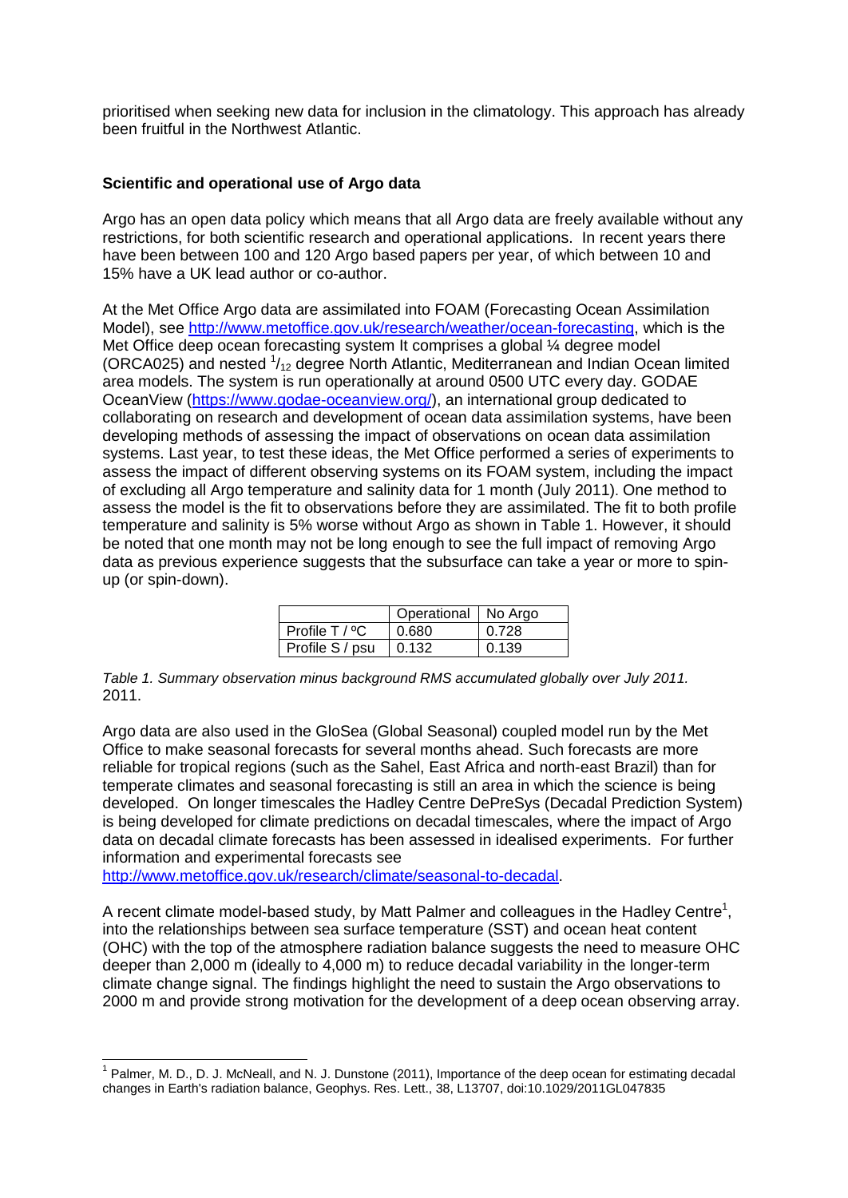prioritised when seeking new data for inclusion in the climatology. This approach has already been fruitful in the Northwest Atlantic.

### **Scientific and operational use of Argo data**

Argo has an open data policy which means that all Argo data are freely available without any restrictions, for both scientific research and operational applications. In recent years there have been between 100 and 120 Argo based papers per year, of which between 10 and 15% have a UK lead author or co-author.

At the Met Office Argo data are assimilated into FOAM (Forecasting Ocean Assimilation Model), see [http://www.metoffice.gov.uk/research/weather/ocean-forecasting,](http://www.metoffice.gov.uk/research/weather/ocean-forecasting) which is the Met Office deep ocean forecasting system It comprises a global ¼ degree model (ORCA025) and nested  $\frac{1}{12}$  degree North Atlantic, Mediterranean and Indian Ocean limited area models. The system is run operationally at around 0500 UTC every day. GODAE OceanView [\(https://www.godae-oceanview.org/\)](https://www.godae-oceanview.org/), an international group dedicated to collaborating on research and development of ocean data assimilation systems, have been developing methods of assessing the impact of observations on ocean data assimilation systems. Last year, to test these ideas, the Met Office performed a series of experiments to assess the impact of different observing systems on its FOAM system, including the impact of excluding all Argo temperature and salinity data for 1 month (July 2011). One method to assess the model is the fit to observations before they are assimilated. The fit to both profile temperature and salinity is 5% worse without Argo as shown in Table 1. However, it should be noted that one month may not be long enough to see the full impact of removing Argo data as previous experience suggests that the subsurface can take a year or more to spinup (or spin-down).

|                       | Operational   No Argo |       |
|-----------------------|-----------------------|-------|
| $\mid$ Profile T / °C | 0.680                 | 0.728 |
| Profile S / psu       | 10.132                | 0.139 |

*Table 1. Summary observation minus background RMS accumulated globally over July 2011.*  2011.

Argo data are also used in the GloSea (Global Seasonal) coupled model run by the Met Office to make seasonal forecasts for several months ahead. Such forecasts are more reliable for tropical regions (such as the Sahel, East Africa and north-east Brazil) than for temperate climates and seasonal forecasting is still an area in which the science is being developed. On longer timescales the Hadley Centre DePreSys (Decadal Prediction System) is being developed for climate predictions on decadal timescales, where the impact of Argo data on decadal climate forecasts has been assessed in idealised experiments. For further information and experimental forecasts see

[http://www.metoffice.gov.uk/research/climate/seasonal-to-decadal.](http://www.metoffice.gov.uk/research/climate/seasonal-to-decadal)

1

A recent climate model-based study, by Matt Palmer and colleagues in the Hadley Centre<sup>1</sup>, into the relationships between sea surface temperature (SST) and ocean heat content (OHC) with the top of the atmosphere radiation balance suggests the need to measure OHC deeper than 2,000 m (ideally to 4,000 m) to reduce decadal variability in the longer-term climate change signal. The findings highlight the need to sustain the Argo observations to 2000 m and provide strong motivation for the development of a deep ocean observing array.

 $1$  Palmer, M. D., D. J. McNeall, and N. J. Dunstone (2011), Importance of the deep ocean for estimating decadal changes in Earth's radiation balance, Geophys. Res. Lett., 38, L13707, doi:10.1029/2011GL047835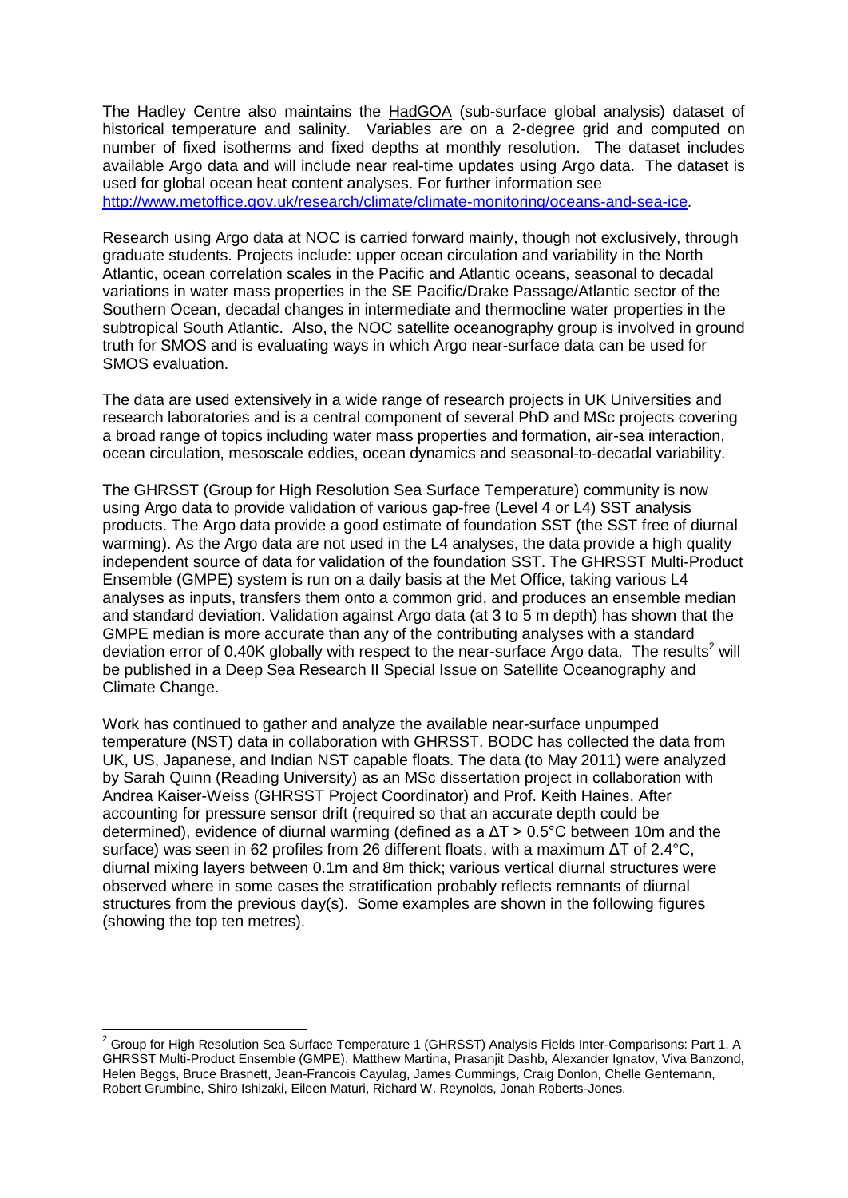The Hadley Centre also maintains the [HadGOA](http://www.hadobs.org/) (sub-surface global analysis) dataset of historical temperature and salinity. Variables are on a 2-degree grid and computed on number of fixed isotherms and fixed depths at monthly resolution. The dataset includes available Argo data and will include near real-time updates using Argo data. The dataset is used for global ocean heat content analyses. For further information see [http://www.metoffice.gov.uk/research/climate/climate-monitoring/oceans-and-sea-ice.](http://www.metoffice.gov.uk/research/climate/climate-monitoring/oceans-and-sea-ice)

Research using Argo data at NOC is carried forward mainly, though not exclusively, through graduate students. Projects include: upper ocean circulation and variability in the North Atlantic, ocean correlation scales in the Pacific and Atlantic oceans, seasonal to decadal variations in water mass properties in the SE Pacific/Drake Passage/Atlantic sector of the Southern Ocean, decadal changes in intermediate and thermocline water properties in the subtropical South Atlantic. Also, the NOC satellite oceanography group is involved in ground truth for SMOS and is evaluating ways in which Argo near-surface data can be used for SMOS evaluation.

The data are used extensively in a wide range of research projects in UK Universities and research laboratories and is a central component of several PhD and MSc projects covering a broad range of topics including water mass properties and formation, air-sea interaction, ocean circulation, mesoscale eddies, ocean dynamics and seasonal-to-decadal variability.

The GHRSST (Group for High Resolution Sea Surface Temperature) community is now using Argo data to provide validation of various gap-free (Level 4 or L4) SST analysis products. The Argo data provide a good estimate of foundation SST (the SST free of diurnal warming). As the Argo data are not used in the L4 analyses, the data provide a high quality independent source of data for validation of the foundation SST. The GHRSST Multi-Product Ensemble (GMPE) system is run on a daily basis at the Met Office, taking various L4 analyses as inputs, transfers them onto a common grid, and produces an ensemble median and standard deviation. Validation against Argo data (at 3 to 5 m depth) has shown that the GMPE median is more accurate than any of the contributing analyses with a standard deviation error of 0.40K globally with respect to the near-surface Argo data. The results<sup>2</sup> will be published in a Deep Sea Research II Special Issue on Satellite Oceanography and Climate Change.

Work has continued to gather and analyze the available near-surface unpumped temperature (NST) data in collaboration with GHRSST. BODC has collected the data from UK, US, Japanese, and Indian NST capable floats. The data (to May 2011) were analyzed by Sarah Quinn (Reading University) as an MSc dissertation project in collaboration with Andrea Kaiser-Weiss (GHRSST Project Coordinator) and Prof. Keith Haines. After accounting for pressure sensor drift (required so that an accurate depth could be determined), evidence of diurnal warming (defined as a ΔT > 0.5°C between 10m and the surface) was seen in 62 profiles from 26 different floats, with a maximum ΔT of 2.4°C, diurnal mixing layers between 0.1m and 8m thick; various vertical diurnal structures were observed where in some cases the stratification probably reflects remnants of diurnal structures from the previous day(s). Some examples are shown in the following figures (showing the top ten metres).

-

 $^{2}$  Group for High Resolution Sea Surface Temperature 1 (GHRSST) Analysis Fields Inter-Comparisons: Part 1. A GHRSST Multi-Product Ensemble (GMPE). Matthew Martina, Prasanjit Dashb, Alexander Ignatov, Viva Banzond, Helen Beggs, Bruce Brasnett, Jean-Francois Cayulag, James Cummings, Craig Donlon, Chelle Gentemann, Robert Grumbine, Shiro Ishizaki, Eileen Maturi, Richard W. Reynolds, Jonah Roberts-Jones.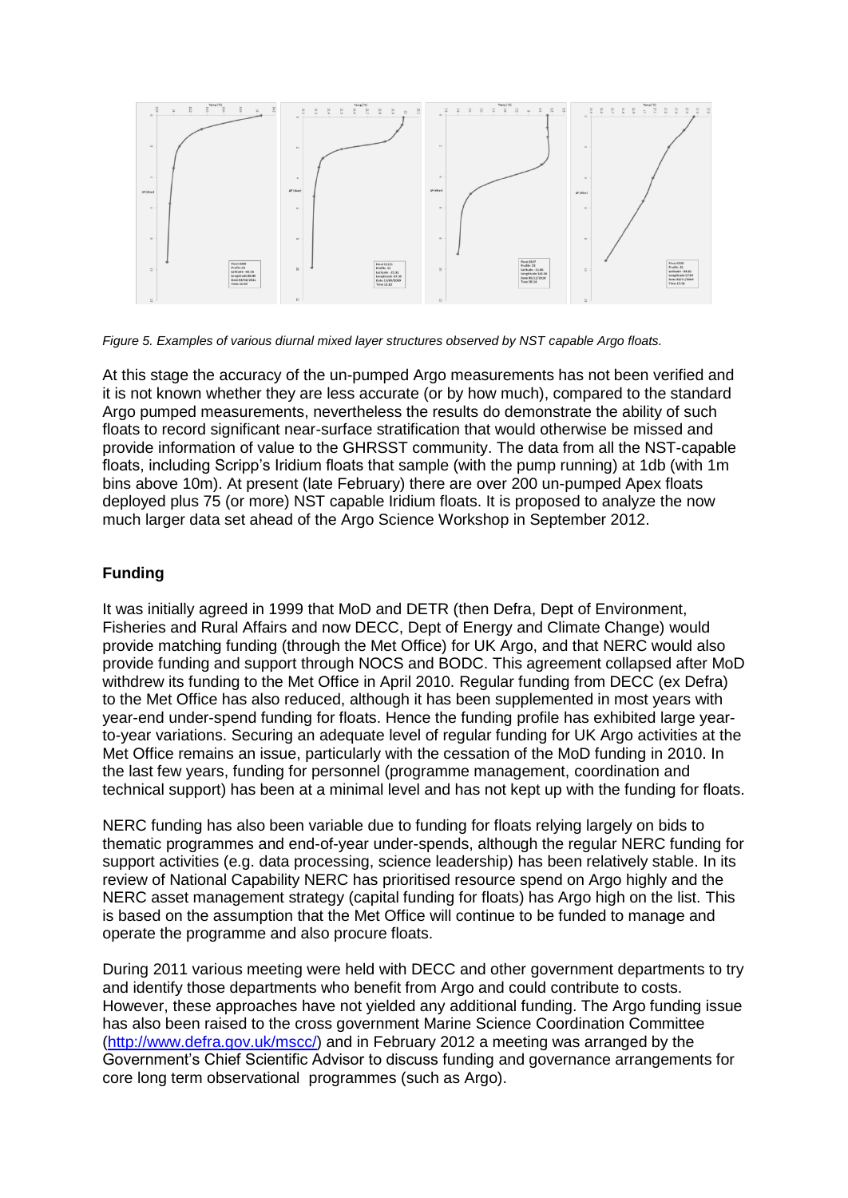

*Figure 5. Examples of various diurnal mixed layer structures observed by NST capable Argo floats.*

At this stage the accuracy of the un-pumped Argo measurements has not been verified and it is not known whether they are less accurate (or by how much), compared to the standard Argo pumped measurements, nevertheless the results do demonstrate the ability of such floats to record significant near-surface stratification that would otherwise be missed and provide information of value to the GHRSST community. The data from all the NST-capable floats, including Scripp's Iridium floats that sample (with the pump running) at 1db (with 1m bins above 10m). At present (late February) there are over 200 un-pumped Apex floats deployed plus 75 (or more) NST capable Iridium floats. It is proposed to analyze the now much larger data set ahead of the Argo Science Workshop in September 2012.

## **Funding**

It was initially agreed in 1999 that MoD and DETR (then Defra, Dept of Environment, Fisheries and Rural Affairs and now DECC, Dept of Energy and Climate Change) would provide matching funding (through the Met Office) for UK Argo, and that NERC would also provide funding and support through NOCS and BODC. This agreement collapsed after MoD withdrew its funding to the Met Office in April 2010. Regular funding from DECC (ex Defra) to the Met Office has also reduced, although it has been supplemented in most years with year-end under-spend funding for floats. Hence the funding profile has exhibited large yearto-year variations. Securing an adequate level of regular funding for UK Argo activities at the Met Office remains an issue, particularly with the cessation of the MoD funding in 2010. In the last few years, funding for personnel (programme management, coordination and technical support) has been at a minimal level and has not kept up with the funding for floats.

NERC funding has also been variable due to funding for floats relying largely on bids to thematic programmes and end-of-year under-spends, although the regular NERC funding for support activities (e.g. data processing, science leadership) has been relatively stable. In its review of National Capability NERC has prioritised resource spend on Argo highly and the NERC asset management strategy (capital funding for floats) has Argo high on the list. This is based on the assumption that the Met Office will continue to be funded to manage and operate the programme and also procure floats.

During 2011 various meeting were held with DECC and other government departments to try and identify those departments who benefit from Argo and could contribute to costs. However, these approaches have not yielded any additional funding. The Argo funding issue has also been raised to the cross government Marine Science Coordination Committee [\(http://www.defra.gov.uk/mscc/\)](http://www.defra.gov.uk/mscc/) and in February 2012 a meeting was arranged by the Government's Chief Scientific Advisor to discuss funding and governance arrangements for core long term observational programmes (such as Argo).